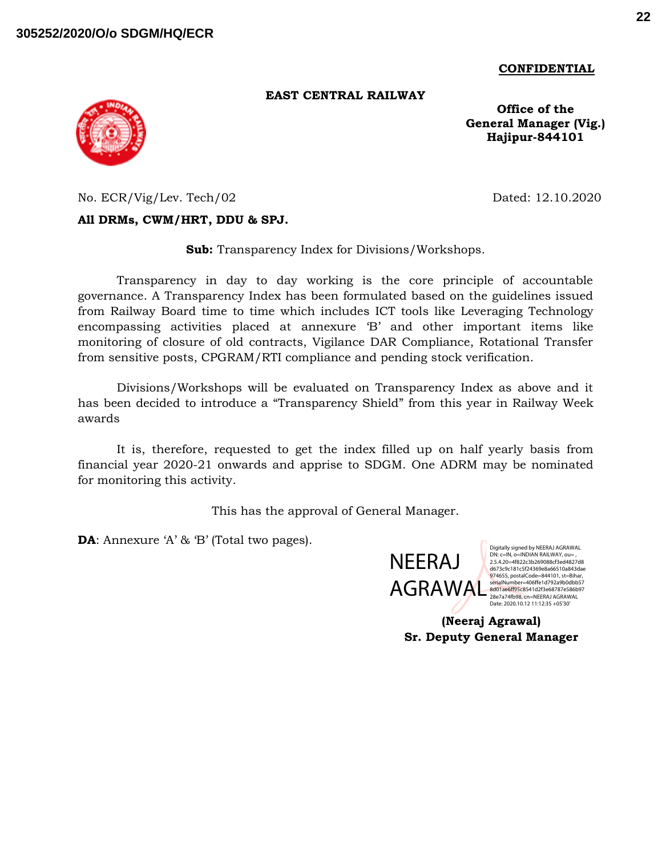**CONFIDENTIAL**

#### **EAST CENTRAL RAILWAY**

**Office of the General Manager (Vig.) Hajipur-844101**

No. ECR/Vig/Lev. Tech/02 Dated: 12.10.2020

### **All DRMs, CWM/HRT, DDU & SPJ.**

**Sub:** Transparency Index for Divisions/Workshops.

Transparency in day to day working is the core principle of accountable governance. A Transparency Index has been formulated based on the guidelines issued from Railway Board time to time which includes ICT tools like Leveraging Technology encompassing activities placed at annexure 'B' and other important items like monitoring of closure of old contracts, Vigilance DAR Compliance, Rotational Transfer from sensitive posts, CPGRAM/RTI compliance and pending stock verification.

Divisions/Workshops will be evaluated on Transparency Index as above and it has been decided to introduce a "Transparency Shield" from this year in Railway Week awards

It is, therefore, requested to get the index filled up on half yearly basis from financial year 2020-21 onwards and apprise to SDGM. One ADRM may be nominated for monitoring this activity.

This has the approval of General Manager.

**DA**: Annexure 'A' & 'B' (Total two pages).



Digitally signed by NEERAJ AGRAWAL DN: c=IN, o=INDIAN RAILWAY, ou= , 2.5.4.20=4f822c3b269088cf3ed4827d8 d673c9c181c5f24369e8a66510a843dae 974655, postalCode=844101, st=Bihar,<br>serialNumber=406ffe1d792a9b0dbb57 28e7a74fb98, cn=NEERAJ AGRAWAL Date: 2020.10.12 11:12:35 +05'30'

**(Neeraj Agrawal) Sr. Deputy General Manager**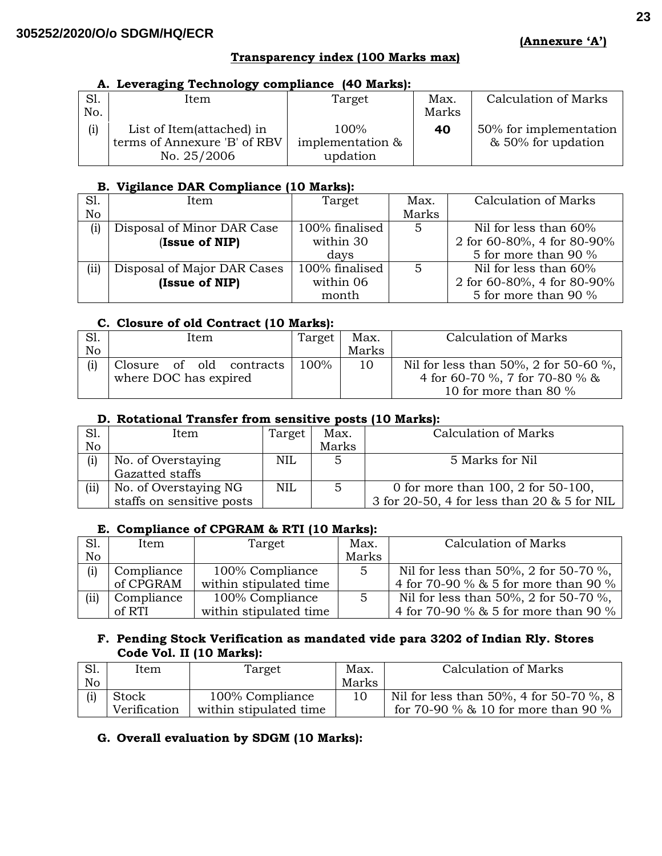#### **Transparency index (100 Marks max)**

#### **A. Leveraging Technology compliance (40 Marks):**

|     | Item                         | Target           | Max.  | Calculation of Marks   |
|-----|------------------------------|------------------|-------|------------------------|
| No. |                              |                  | Marks |                        |
| (i) | List of Item(attached) in    | $100\%$          | 40    | 50% for implementation |
|     | terms of Annexure 'B' of RBV | implementation & |       | & 50% for updation     |
|     | No. 25/2006                  | updation         |       |                        |

### **B. Vigilance DAR Compliance (10 Marks):**

| S1.  | Item                        | Target         | Max.  | Calculation of Marks       |
|------|-----------------------------|----------------|-------|----------------------------|
| No   |                             |                | Marks |                            |
| (i)  | Disposal of Minor DAR Case  | 100% finalised | 5     | Nil for less than 60%      |
|      | (Issue of NIP)              | within 30      |       | 2 for 60-80%, 4 for 80-90% |
|      |                             | davs           |       | 5 for more than 90 %       |
| (ii) | Disposal of Major DAR Cases | 100% finalised | 5     | Nil for less than 60%      |
|      | (Issue of NIP)              | within 06      |       | 2 for 60-80%, 4 for 80-90% |
|      |                             | month          |       | 5 for more than 90 %       |

### **C. Closure of old Contract (10 Marks):**

| S1. | Item                     | Target | Max.  | Calculation of Marks                  |  |
|-----|--------------------------|--------|-------|---------------------------------------|--|
| No  |                          |        | Marks |                                       |  |
|     | Closure of old contracts | 100%   | 10    | Nil for less than 50%, 2 for 50-60 %, |  |
|     | where DOC has expired    |        |       | 4 for 60-70 %, 7 for 70-80 % &        |  |
|     |                          |        |       | 10 for more than 80 $\%$              |  |

### **D. Rotational Transfer from sensitive posts (10 Marks):**

| S1.  | Item                      | Target     | Max.  | Calculation of Marks                        |
|------|---------------------------|------------|-------|---------------------------------------------|
| No   |                           |            | Marks |                                             |
| (i)  | No. of Overstaying        | <b>NIL</b> |       | 5 Marks for Nil                             |
|      | Gazatted staffs           |            |       |                                             |
| (ii) | No. of Overstaying NG     | <b>NIL</b> | 5     | 0 for more than 100, 2 for 50-100,          |
|      | staffs on sensitive posts |            |       | 3 for 20-50, 4 for less than 20 & 5 for NIL |

# **E. Compliance of CPGRAM & RTI (10 Marks):**

| S1.  | Item       | Target                 | Max.          | <b>Calculation of Marks</b>           |
|------|------------|------------------------|---------------|---------------------------------------|
| No   |            |                        | Marks         |                                       |
| (i)  | Compliance | 100% Compliance        | $\mathcal{D}$ | Nil for less than 50%, 2 for 50-70 %, |
|      | of CPGRAM  | within stipulated time |               | 4 for 70-90 % & 5 for more than 90 %  |
| (ii) | Compliance | 100% Compliance        | 5             | Nil for less than 50%, 2 for 50-70 %, |
|      | of RTI     | within stipulated time |               | 4 for 70-90 % & 5 for more than 90 %  |

### **F. Pending Stock Verification as mandated vide para 3202 of Indian Rly. Stores Code Vol. II (10 Marks):**

| S1. | Item         | Target                 | Max.  | Calculation of Marks                    |
|-----|--------------|------------------------|-------|-----------------------------------------|
| No  |              |                        | Marks |                                         |
| (i) | Stock        | 100% Compliance        |       | Nil for less than 50%, 4 for 50-70 %, 8 |
|     | Verification | within stipulated time |       | for 70-90 % & 10 for more than 90 %     |

# **G. Overall evaluation by SDGM (10 Marks):**

**(Annexure 'A')**